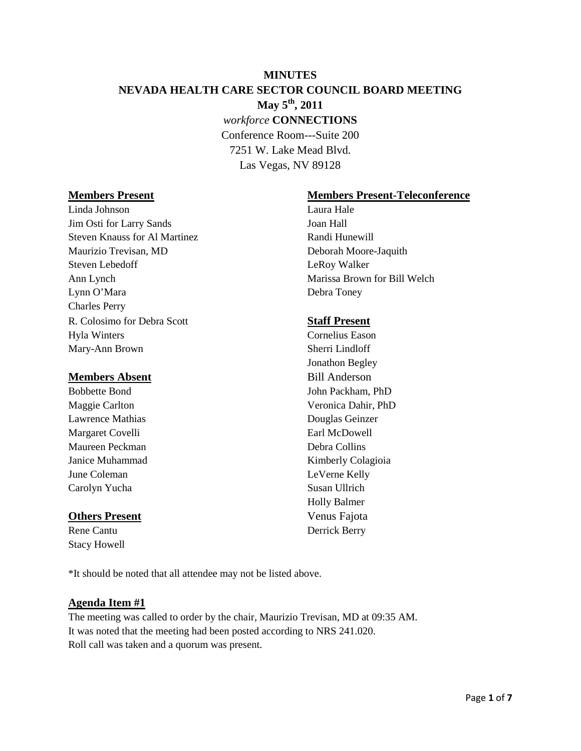# **MINUTES NEVADA HEALTH CARE SECTOR COUNCIL BOARD MEETING May 5th, 2011** *workforce* **CONNECTIONS** Conference Room---Suite 200 7251 W. Lake Mead Blvd. Las Vegas, NV 89128

Linda Johnson Laura Hale Jim Osti for Larry Sands Joan Hall Steven Knauss for Al Martinez Randi Hunewill Maurizio Trevisan, MD Deborah Moore-Jaquith Steven Lebedoff LeRoy Walker Ann Lynch Marissa Brown for Bill Welch Lynn O'Mara Debra Toney Charles Perry R. Colosimo for Debra Scott **Staff Present** Hyla Winters Cornelius Eason Mary-Ann Brown Sherri Lindloff

#### **Members Absent** Bill Anderson

Lawrence Mathias Douglas Geinzer Margaret Covelli Earl McDowell Maureen Peckman Debra Collins June Coleman LeVerne Kelly Carolyn Yucha Susan Ullrich

### **Others Present** Venus Fajota

Stacy Howell

### **Members Present Members Present-Teleconference**

Jonathon Begley Bobbette Bond John Packham, PhD Maggie Carlton Veronica Dahir, PhD Janice Muhammad Kimberly Colagioia Holly Balmer Rene Cantu Derrick Berry

\*It should be noted that all attendee may not be listed above.

#### **Agenda Item #1**

The meeting was called to order by the chair, Maurizio Trevisan, MD at 09:35 AM. It was noted that the meeting had been posted according to NRS 241.020. Roll call was taken and a quorum was present.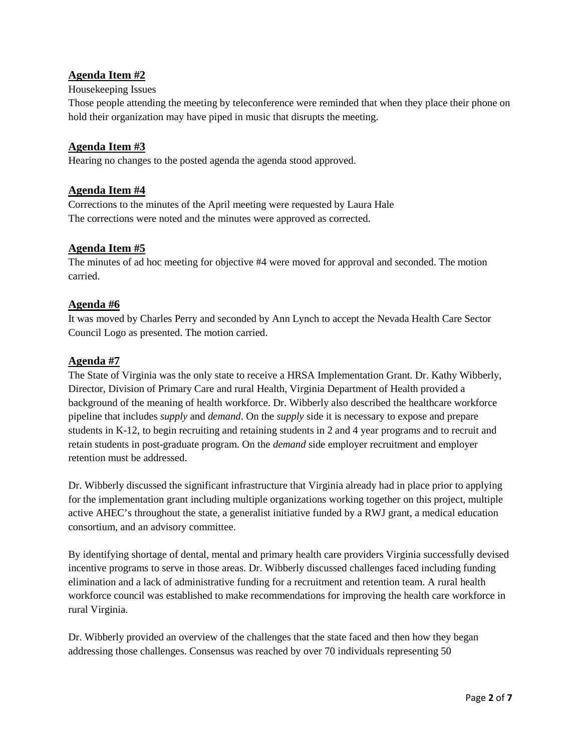## **Agenda Item #2**

#### Housekeeping Issues

Those people attending the meeting by teleconference were reminded that when they place their phone on hold their organization may have piped in music that disrupts the meeting.

#### **Agenda Item #3**

Hearing no changes to the posted agenda the agenda stood approved.

### **Agenda Item #4**

Corrections to the minutes of the April meeting were requested by Laura Hale The corrections were noted and the minutes were approved as corrected.

#### **Agenda Item #5**

The minutes of ad hoc meeting for objective #4 were moved for approval and seconded. The motion carried.

#### **Agenda #6**

It was moved by Charles Perry and seconded by Ann Lynch to accept the Nevada Health Care Sector Council Logo as presented. The motion carried.

#### **Agenda #7**

The State of Virginia was the only state to receive a HRSA Implementation Grant. Dr. Kathy Wibberly, Director, Division of Primary Care and rural Health, Virginia Department of Health provided a background of the meaning of health workforce. Dr. Wibberly also described the healthcare workforce pipeline that includes *supply* and *demand*. On the *supply* side it is necessary to expose and prepare students in K-12, to begin recruiting and retaining students in 2 and 4 year programs and to recruit and retain students in post-graduate program. On the *demand* side employer recruitment and employer retention must be addressed.

Dr. Wibberly discussed the significant infrastructure that Virginia already had in place prior to applying for the implementation grant including multiple organizations working together on this project, multiple active AHEC's throughout the state, a generalist initiative funded by a RWJ grant, a medical education consortium, and an advisory committee.

By identifying shortage of dental, mental and primary health care providers Virginia successfully devised incentive programs to serve in those areas. Dr. Wibberly discussed challenges faced including funding elimination and a lack of administrative funding for a recruitment and retention team. A rural health workforce council was established to make recommendations for improving the health care workforce in rural Virginia.

Dr. Wibberly provided an overview of the challenges that the state faced and then how they began addressing those challenges. Consensus was reached by over 70 individuals representing 50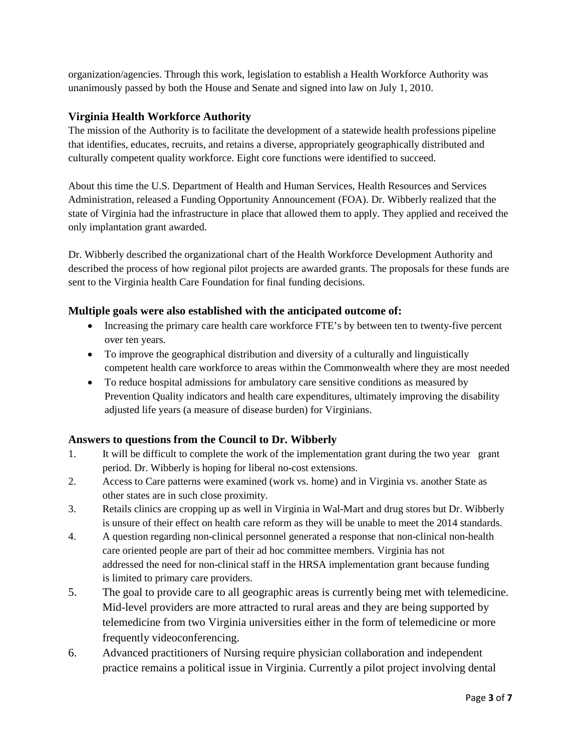organization/agencies. Through this work, legislation to establish a Health Workforce Authority was unanimously passed by both the House and Senate and signed into law on July 1, 2010.

## **Virginia Health Workforce Authority**

The mission of the Authority is to facilitate the development of a statewide health professions pipeline that identifies, educates, recruits, and retains a diverse, appropriately geographically distributed and culturally competent quality workforce. Eight core functions were identified to succeed.

About this time the U.S. Department of Health and Human Services, Health Resources and Services Administration, released a Funding Opportunity Announcement (FOA). Dr. Wibberly realized that the state of Virginia had the infrastructure in place that allowed them to apply. They applied and received the only implantation grant awarded.

Dr. Wibberly described the organizational chart of the Health Workforce Development Authority and described the process of how regional pilot projects are awarded grants. The proposals for these funds are sent to the Virginia health Care Foundation for final funding decisions.

## **Multiple goals were also established with the anticipated outcome of:**

- Increasing the primary care health care workforce FTE's by between ten to twenty-five percent over ten years.
- To improve the geographical distribution and diversity of a culturally and linguistically competent health care workforce to areas within the Commonwealth where they are most needed
- To reduce hospital admissions for ambulatory care sensitive conditions as measured by Prevention Quality indicators and health care expenditures, ultimately improving the disability adjusted life years (a measure of disease burden) for Virginians.

## **Answers to questions from the Council to Dr. Wibberly**

- 1. It will be difficult to complete the work of the implementation grant during the two year grant period. Dr. Wibberly is hoping for liberal no-cost extensions.
- 2. Access to Care patterns were examined (work vs. home) and in Virginia vs. another State as other states are in such close proximity.
- 3. Retails clinics are cropping up as well in Virginia in Wal-Mart and drug stores but Dr. Wibberly is unsure of their effect on health care reform as they will be unable to meet the 2014 standards.
- 4. A question regarding non-clinical personnel generated a response that non-clinical non-health care oriented people are part of their ad hoc committee members. Virginia has not addressed the need for non-clinical staff in the HRSA implementation grant because funding is limited to primary care providers.
- 5. The goal to provide care to all geographic areas is currently being met with telemedicine. Mid-level providers are more attracted to rural areas and they are being supported by telemedicine from two Virginia universities either in the form of telemedicine or more frequently videoconferencing.
- 6. Advanced practitioners of Nursing require physician collaboration and independent practice remains a political issue in Virginia. Currently a pilot project involving dental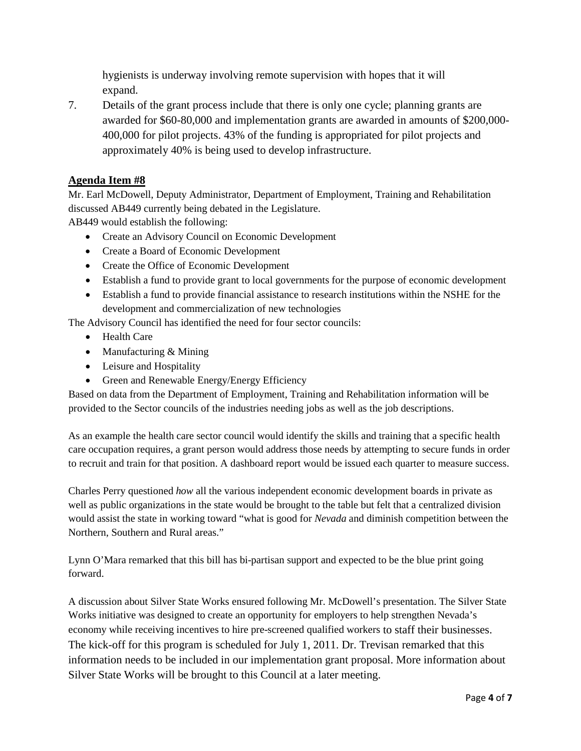hygienists is underway involving remote supervision with hopes that it will expand.

7. Details of the grant process include that there is only one cycle; planning grants are awarded for \$60-80,000 and implementation grants are awarded in amounts of \$200,000- 400,000 for pilot projects. 43% of the funding is appropriated for pilot projects and approximately 40% is being used to develop infrastructure.

## **Agenda Item #8**

Mr. Earl McDowell, Deputy Administrator, Department of Employment, Training and Rehabilitation discussed AB449 currently being debated in the Legislature.

AB449 would establish the following:

- Create an Advisory Council on Economic Development
- Create a Board of Economic Development
- Create the Office of Economic Development
- Establish a fund to provide grant to local governments for the purpose of economic development
- Establish a fund to provide financial assistance to research institutions within the NSHE for the development and commercialization of new technologies

The Advisory Council has identified the need for four sector councils:

- Health Care
- Manufacturing & Mining
- Leisure and Hospitality
- Green and Renewable Energy/Energy Efficiency

Based on data from the Department of Employment, Training and Rehabilitation information will be provided to the Sector councils of the industries needing jobs as well as the job descriptions.

As an example the health care sector council would identify the skills and training that a specific health care occupation requires, a grant person would address those needs by attempting to secure funds in order to recruit and train for that position. A dashboard report would be issued each quarter to measure success.

Charles Perry questioned *how* all the various independent economic development boards in private as well as public organizations in the state would be brought to the table but felt that a centralized division would assist the state in working toward "what is good for *Nevada* and diminish competition between the Northern, Southern and Rural areas."

Lynn O'Mara remarked that this bill has bi-partisan support and expected to be the blue print going forward.

A discussion about Silver State Works ensured following Mr. McDowell's presentation. The Silver State Works initiative was designed to create an opportunity for employers to help strengthen Nevada's economy while receiving incentives to hire pre-screened qualified workers to staff their businesses. The kick-off for this program is scheduled for July 1, 2011. Dr. Trevisan remarked that this information needs to be included in our implementation grant proposal. More information about Silver State Works will be brought to this Council at a later meeting.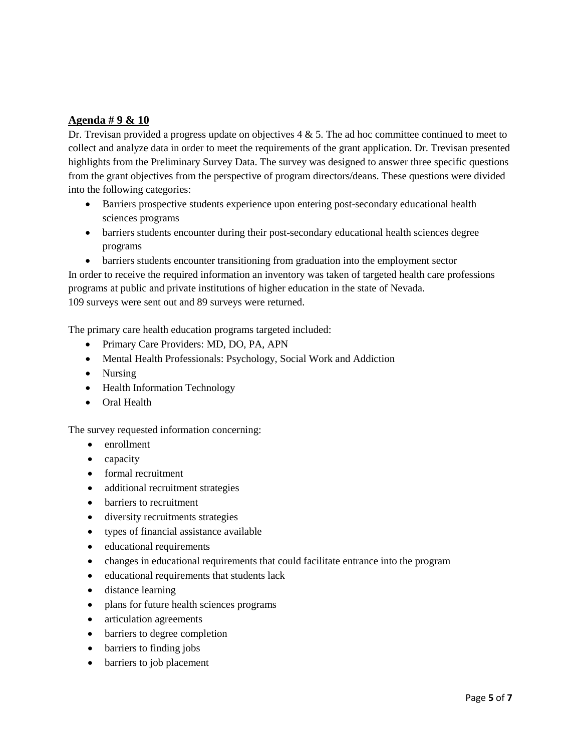## **Agenda # 9 & 10**

Dr. Trevisan provided a progress update on objectives  $4 \& 5$ . The ad hoc committee continued to meet to collect and analyze data in order to meet the requirements of the grant application. Dr. Trevisan presented highlights from the Preliminary Survey Data. The survey was designed to answer three specific questions from the grant objectives from the perspective of program directors/deans. These questions were divided into the following categories:

- Barriers prospective students experience upon entering post-secondary educational health sciences programs
- barriers students encounter during their post-secondary educational health sciences degree programs
- barriers students encounter transitioning from graduation into the employment sector

In order to receive the required information an inventory was taken of targeted health care professions programs at public and private institutions of higher education in the state of Nevada. 109 surveys were sent out and 89 surveys were returned.

The primary care health education programs targeted included:

- Primary Care Providers: MD, DO, PA, APN
- Mental Health Professionals: Psychology, Social Work and Addiction
- Nursing
- Health Information Technology
- Oral Health

The survey requested information concerning:

- enrollment
- capacity
- formal recruitment
- additional recruitment strategies
- barriers to recruitment
- diversity recruitments strategies
- types of financial assistance available
- educational requirements
- changes in educational requirements that could facilitate entrance into the program
- educational requirements that students lack
- distance learning
- plans for future health sciences programs
- articulation agreements
- barriers to degree completion
- barriers to finding jobs
- barriers to job placement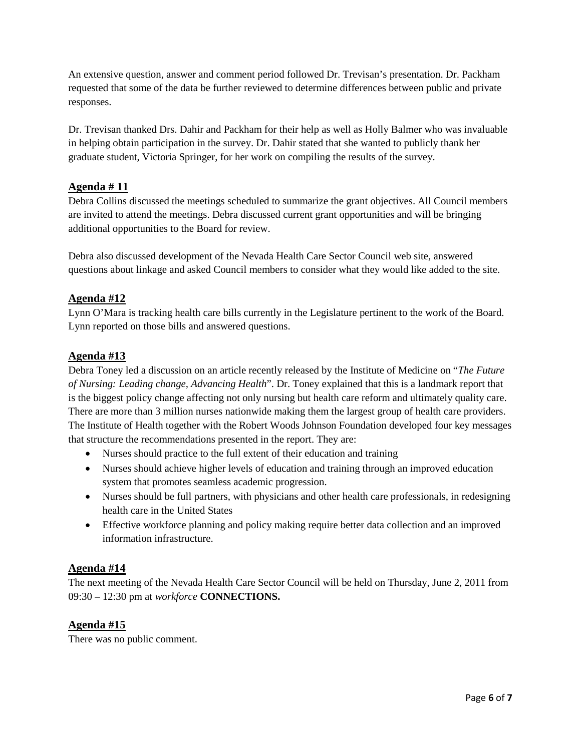An extensive question, answer and comment period followed Dr. Trevisan's presentation. Dr. Packham requested that some of the data be further reviewed to determine differences between public and private responses.

Dr. Trevisan thanked Drs. Dahir and Packham for their help as well as Holly Balmer who was invaluable in helping obtain participation in the survey. Dr. Dahir stated that she wanted to publicly thank her graduate student, Victoria Springer, for her work on compiling the results of the survey.

## **Agenda # 11**

Debra Collins discussed the meetings scheduled to summarize the grant objectives. All Council members are invited to attend the meetings. Debra discussed current grant opportunities and will be bringing additional opportunities to the Board for review.

Debra also discussed development of the Nevada Health Care Sector Council web site, answered questions about linkage and asked Council members to consider what they would like added to the site.

## **Agenda #12**

Lynn O'Mara is tracking health care bills currently in the Legislature pertinent to the work of the Board. Lynn reported on those bills and answered questions.

### **Agenda #13**

Debra Toney led a discussion on an article recently released by the Institute of Medicine on "*The Future of Nursing: Leading change, Advancing Health*". Dr. Toney explained that this is a landmark report that is the biggest policy change affecting not only nursing but health care reform and ultimately quality care. There are more than 3 million nurses nationwide making them the largest group of health care providers. The Institute of Health together with the Robert Woods Johnson Foundation developed four key messages that structure the recommendations presented in the report. They are:

- Nurses should practice to the full extent of their education and training
- Nurses should achieve higher levels of education and training through an improved education system that promotes seamless academic progression.
- Nurses should be full partners, with physicians and other health care professionals, in redesigning health care in the United States
- Effective workforce planning and policy making require better data collection and an improved information infrastructure.

## **Agenda #14**

The next meeting of the Nevada Health Care Sector Council will be held on Thursday, June 2, 2011 from 09:30 – 12:30 pm at *workforce* **CONNECTIONS.**

### **Agenda #15**

There was no public comment.